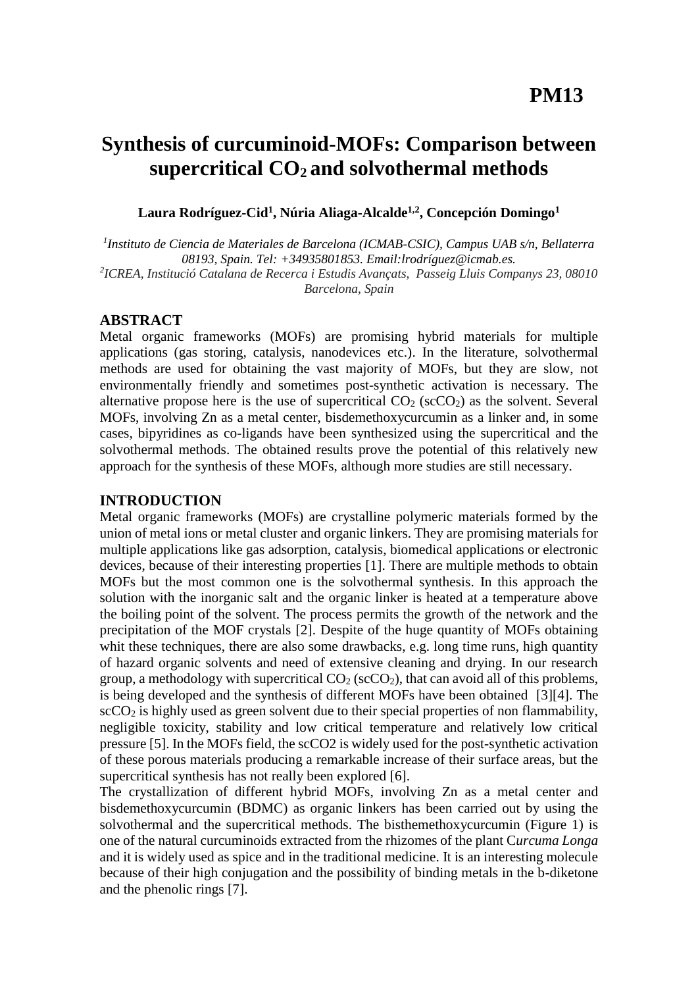# **Synthesis of curcuminoid-MOFs: Comparison between supercritical CO2 and solvothermal methods**

**Laura Rodríguez-Cid<sup>1</sup> , Núria Aliaga-Alcalde1,2 , Concepción Domingo<sup>1</sup>**

*1 Instituto de Ciencia de Materiales de Barcelona (ICMAB-CSIC), Campus UAB s/n, Bellaterra 08193, Spain. Tel: +34935801853. Email:lrodríguez@icmab.es. 2 ICREA, Institució Catalana de Recerca i Estudis Avançats, Passeig Lluis Companys 23, 08010 Barcelona, Spain*

#### **ABSTRACT**

Metal organic frameworks (MOFs) are promising hybrid materials for multiple applications (gas storing, catalysis, nanodevices etc.). In the literature, solvothermal methods are used for obtaining the vast majority of MOFs, but they are slow, not environmentally friendly and sometimes post-synthetic activation is necessary. The alternative propose here is the use of supercritical  $CO<sub>2</sub>$  (scCO<sub>2</sub>) as the solvent. Several MOFs, involving Zn as a metal center, bisdemethoxycurcumin as a linker and, in some cases, bipyridines as co-ligands have been synthesized using the supercritical and the solvothermal methods. The obtained results prove the potential of this relatively new approach for the synthesis of these MOFs, although more studies are still necessary.

#### **INTRODUCTION**

Metal organic frameworks (MOFs) are crystalline polymeric materials formed by the union of metal ions or metal cluster and organic linkers. They are promising materials for multiple applications like gas adsorption, catalysis, biomedical applications or electronic devices, because of their interesting properties [1]. There are multiple methods to obtain MOFs but the most common one is the solvothermal synthesis. In this approach the solution with the inorganic salt and the organic linker is heated at a temperature above the boiling point of the solvent. The process permits the growth of the network and the precipitation of the MOF crystals [2]. Despite of the huge quantity of MOFs obtaining whit these techniques, there are also some drawbacks, e.g. long time runs, high quantity of hazard organic solvents and need of extensive cleaning and drying. In our research group, a methodology with supercritical  $CO<sub>2</sub>$  (scCO<sub>2</sub>), that can avoid all of this problems, is being developed and the synthesis of different MOFs have been obtained [3][4]. The  $\sec CO_2$  is highly used as green solvent due to their special properties of non flammability, negligible toxicity, stability and low critical temperature and relatively low critical pressure [5]. In the MOFs field, the scCO2 is widely used for the post-synthetic activation of these porous materials producing a remarkable increase of their surface areas, but the supercritical synthesis has not really been explored [6].

The crystallization of different hybrid MOFs, involving Zn as a metal center and bisdemethoxycurcumin (BDMC) as organic linkers has been carried out by using the solvothermal and the supercritical methods. The bisthemethoxycurcumin (Figure 1) is one of the natural curcuminoids extracted from the rhizomes of the plant C*urcuma Longa* and it is widely used as spice and in the traditional medicine. It is an interesting molecule because of their high conjugation and the possibility of binding metals in the b-diketone and the phenolic rings [7].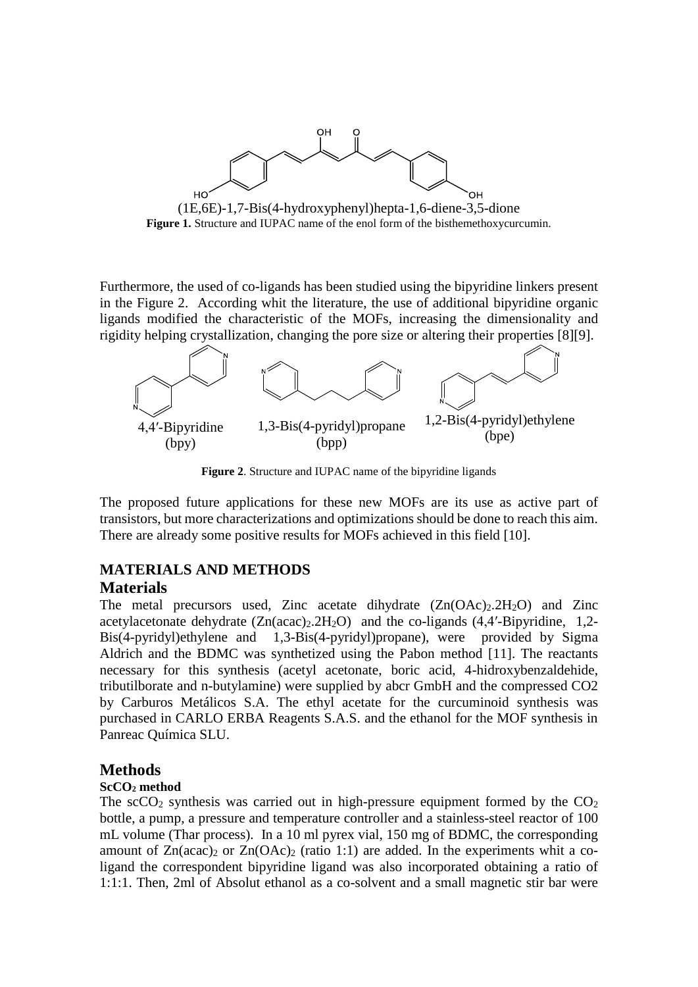

Furthermore, the used of co-ligands has been studied using the bipyridine linkers present in the Figure 2. According whit the literature, the use of additional bipyridine organic ligands modified the characteristic of the MOFs, increasing the dimensionality and rigidity helping crystallization, changing the pore size or altering their properties [8][9].



**Figure 2**. Structure and IUPAC name of the bipyridine ligands

The proposed future applications for these new MOFs are its use as active part of transistors, but more characterizations and optimizations should be done to reach this aim. There are already some positive results for MOFs achieved in this field [10].

## **MATERIALS AND METHODS**

#### **Materials**

The metal precursors used, Zinc acetate dihydrate  $(Zn(OAc)<sub>2</sub>.2H<sub>2</sub>O)$  and Zinc acetylacetonate dehydrate  $(Zn(acac)<sub>2</sub>, 2H<sub>2</sub>O)$  and the co-ligands  $(4,4'-Bipyridine, 1,2-)$ Bis(4-pyridyl)ethylene and 1,3-Bis(4-pyridyl)propane), were provided by Sigma Aldrich and the BDMC was synthetized using the Pabon method [11]. The reactants necessary for this synthesis (acetyl acetonate, boric acid, 4-hidroxybenzaldehide, tributilborate and n-butylamine) were supplied by abcr GmbH and the compressed CO2 by Carburos Metálicos S.A. The ethyl acetate for the curcuminoid synthesis was purchased in CARLO ERBA Reagents S.A.S. and the ethanol for the MOF synthesis in Panreac Química SLU.

## **Methods**

#### **ScCO<sup>2</sup> method**

The  $\text{scCO}_2$  synthesis was carried out in high-pressure equipment formed by the  $\text{CO}_2$ bottle, a pump, a pressure and temperature controller and a stainless-steel reactor of 100 mL volume (Thar process). In a 10 ml pyrex vial, 150 mg of BDMC, the corresponding amount of  $Zn(acac)_2$  or  $Zn(OAc)_2$  (ratio 1:1) are added. In the experiments whit a coligand the correspondent bipyridine ligand was also incorporated obtaining a ratio of 1:1:1. Then, 2ml of Absolut ethanol as a co-solvent and a small magnetic stir bar were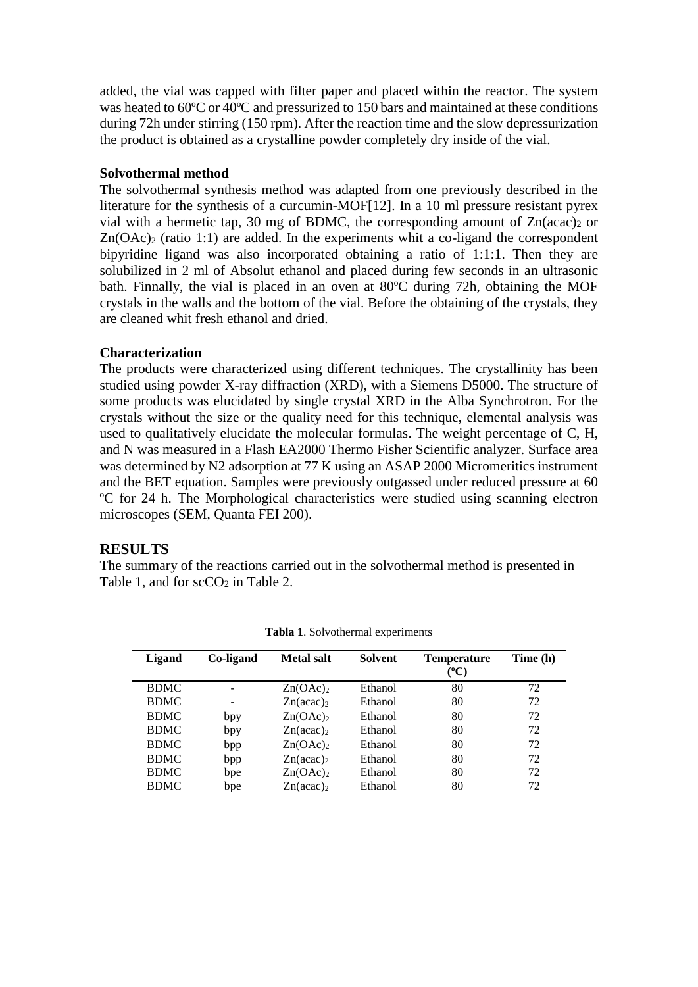added, the vial was capped with filter paper and placed within the reactor. The system was heated to 60ºC or 40ºC and pressurized to 150 bars and maintained at these conditions during 72h under stirring (150 rpm). After the reaction time and the slow depressurization the product is obtained as a crystalline powder completely dry inside of the vial.

#### **Solvothermal method**

The solvothermal synthesis method was adapted from one previously described in the literature for the synthesis of a curcumin-MOF[12]. In a 10 ml pressure resistant pyrex vial with a hermetic tap, 30 mg of BDMC, the corresponding amount of  $Zn(acac)<sub>2</sub>$  or  $Zn(OAc)$ <sub>2</sub> (ratio 1:1) are added. In the experiments whit a co-ligand the correspondent bipyridine ligand was also incorporated obtaining a ratio of 1:1:1. Then they are solubilized in 2 ml of Absolut ethanol and placed during few seconds in an ultrasonic bath. Finnally, the vial is placed in an oven at 80ºC during 72h, obtaining the MOF crystals in the walls and the bottom of the vial. Before the obtaining of the crystals, they are cleaned whit fresh ethanol and dried.

#### **Characterization**

The products were characterized using different techniques. The crystallinity has been studied using powder X-ray diffraction (XRD), with a Siemens D5000. The structure of some products was elucidated by single crystal XRD in the Alba Synchrotron. For the crystals without the size or the quality need for this technique, elemental analysis was used to qualitatively elucidate the molecular formulas. The weight percentage of C, H, and N was measured in a Flash EA2000 Thermo Fisher Scientific analyzer. Surface area was determined by N2 adsorption at 77 K using an ASAP 2000 Micromeritics instrument and the BET equation. Samples were previously outgassed under reduced pressure at 60 ºC for 24 h. The Morphological characteristics were studied using scanning electron microscopes (SEM, Quanta FEI 200).

## **RESULTS**

The summary of the reactions carried out in the solvothermal method is presented in Table 1, and for  $scCO<sub>2</sub>$  in Table 2.

| Ligand      | Co-ligand | <b>Metal salt</b>     | <b>Solvent</b> | <b>Temperature</b><br>(°C) | Time (h) |
|-------------|-----------|-----------------------|----------------|----------------------------|----------|
| <b>BDMC</b> |           | $Zn(OAc)_2$           | Ethanol        | 80                         | 72       |
| <b>BDMC</b> |           | Zn(acac) <sub>2</sub> | Ethanol        | 80                         | 72       |
| <b>BDMC</b> | bpy       | $Zn(OAc)_2$           | Ethanol        | 80                         | 72       |
| <b>BDMC</b> | bpy       | Zn(acac)              | Ethanol        | 80                         | 72       |
| <b>BDMC</b> | bpp       | $Zn(OAc)_2$           | Ethanol        | 80                         | 72       |
| <b>BDMC</b> | bpp       | Zn(acac) <sub>2</sub> | Ethanol        | 80                         | 72       |
| <b>BDMC</b> | bpe       | $Zn(OAc)_2$           | Ethanol        | 80                         | 72       |
| <b>BDMC</b> | bpe       | Zn(acac)              | Ethanol        | 80                         | 72       |

**Tabla 1**. Solvothermal experiments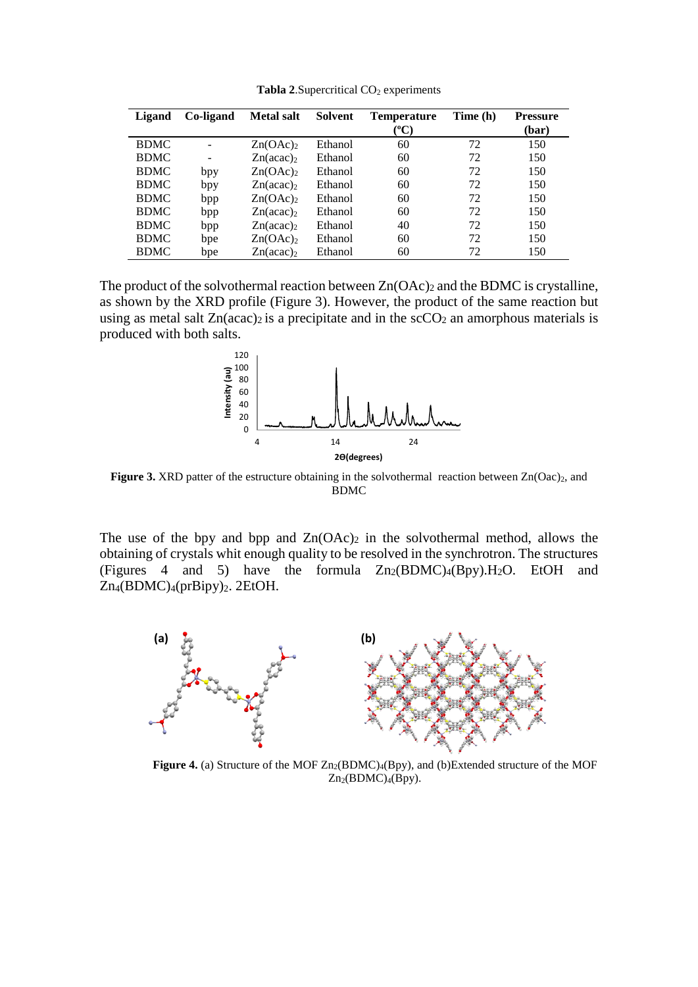| Ligand      | Co-ligand | <b>Metal salt</b>     | <b>Solvent</b> | <b>Temperature</b> | Time (h) | <b>Pressure</b> |
|-------------|-----------|-----------------------|----------------|--------------------|----------|-----------------|
|             |           |                       |                | (°C)               |          | (bar)           |
| <b>BDMC</b> |           | Zn(OAc)               | Ethanol        | 60                 | 72       | 150             |
| <b>BDMC</b> |           | Zn(acac) <sub>2</sub> | Ethanol        | 60                 | 72       | 150             |
| <b>BDMC</b> | bpy       | $Zn(OAc)_2$           | Ethanol        | 60                 | 72       | 150             |
| <b>BDMC</b> | bpy       | Zn(acac)              | Ethanol        | 60                 | 72       | 150             |
| <b>BDMC</b> | bpp       | $Zn(OAc)_2$           | Ethanol        | 60                 | 72       | 150             |
| <b>BDMC</b> | bpp       | Zn(acac)              | Ethanol        | 60                 | 72       | 150             |
| <b>BDMC</b> | bpp       | Zn(acac)              | Ethanol        | 40                 | 72       | 150             |
| <b>BDMC</b> | bpe       | $Zn(OAc)_2$           | Ethanol        | 60                 | 72       | 150             |
| <b>BDMC</b> | bpe       | Zn(acac)              | Ethanol        | 60                 | 72       | 150             |

Tabla 2.Supercritical CO<sub>2</sub> experiments

The product of the solvothermal reaction between  $Zn(OAc)_2$  and the BDMC is crystalline, as shown by the XRD profile (Figure 3). However, the product of the same reaction but using as metal salt  $Zn(acac)<sub>2</sub>$  is a precipitate and in the  $scCO<sub>2</sub>$  an amorphous materials is produced with both salts.



**Figure** 3. XRD patter of the estructure obtaining in the solvothermal reaction between  $Zn(Oac)_2$ , and BDMC

The use of the bpy and bpp and  $Zn(OAc)_2$  in the solvothermal method, allows the obtaining of crystals whit enough quality to be resolved in the synchrotron. The structures (Figures 4 and 5) have the formula  $Zn_2(BDMC)_4(Bpy).H_2O$ . EtOH and Zn4(BDMC)4(prBipy)2. 2EtOH.



**Figure 4.** (a) Structure of the MOF Zn<sub>2</sub>(BDMC)<sub>4</sub>(Bpy), and (b)Extended structure of the MOF  $Zn_2(BDMC)_4(Bpy)$ .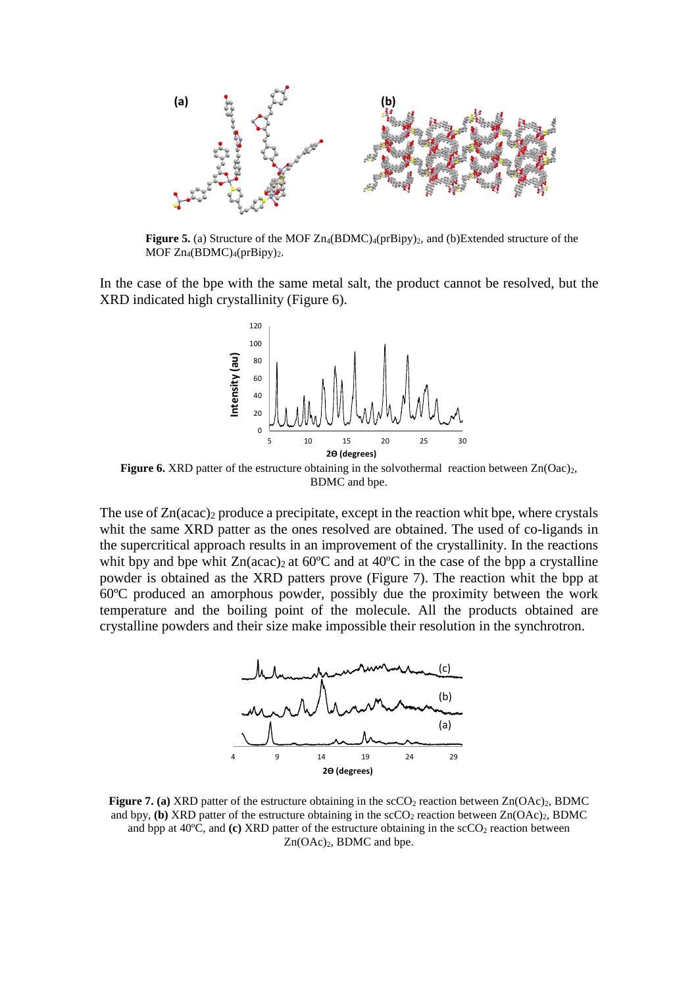

**Figure 5.** (a) Structure of the MOF Zn<sub>4</sub>(BDMC)<sub>4</sub>(prBipy)<sub>2</sub>, and (b)Extended structure of the MOF  $Zn_4(BDMC)_4(prBipy)_2$ .

In the case of the bpe with the same metal salt, the product cannot be resolved, but the XRD indicated high crystallinity (Figure 6).



**Figure 6.** XRD patter of the estructure obtaining in the solvothermal reaction between  $Zn(Oac)_2$ , BDMC and bpe.

The use of  $Zn(acac)$ <sub>2</sub> produce a precipitate, except in the reaction whit bpe, where crystals whit the same XRD patter as the ones resolved are obtained. The used of co-ligands in the supercritical approach results in an improvement of the crystallinity. In the reactions whit bpy and bpe whit  $Zn(acac)$ <sub>2</sub> at 60<sup>o</sup>C and at 40<sup>o</sup>C in the case of the bpp a crystalline powder is obtained as the XRD patters prove (Figure 7). The reaction whit the bpp at 60ºC produced an amorphous powder, possibly due the proximity between the work temperature and the boiling point of the molecule. All the products obtained are crystalline powders and their size make impossible their resolution in the synchrotron.



**Figure 7. (a) XRD patter of the estructure obtaining in the**  $\text{SCO}_2$  **reaction between**  $\text{Zn}(\text{OAc})_2$ **, BDMC** and bpy, **(b)** XRD patter of the estructure obtaining in the  $\text{scCO}_2$  reaction between  $\text{Zn}(\text{OAc})_2$ , BDMC and bpp at 40°C, and (c) XRD patter of the estructure obtaining in the scCO<sub>2</sub> reaction between  $Zn(OAc)$ , BDMC and bpe.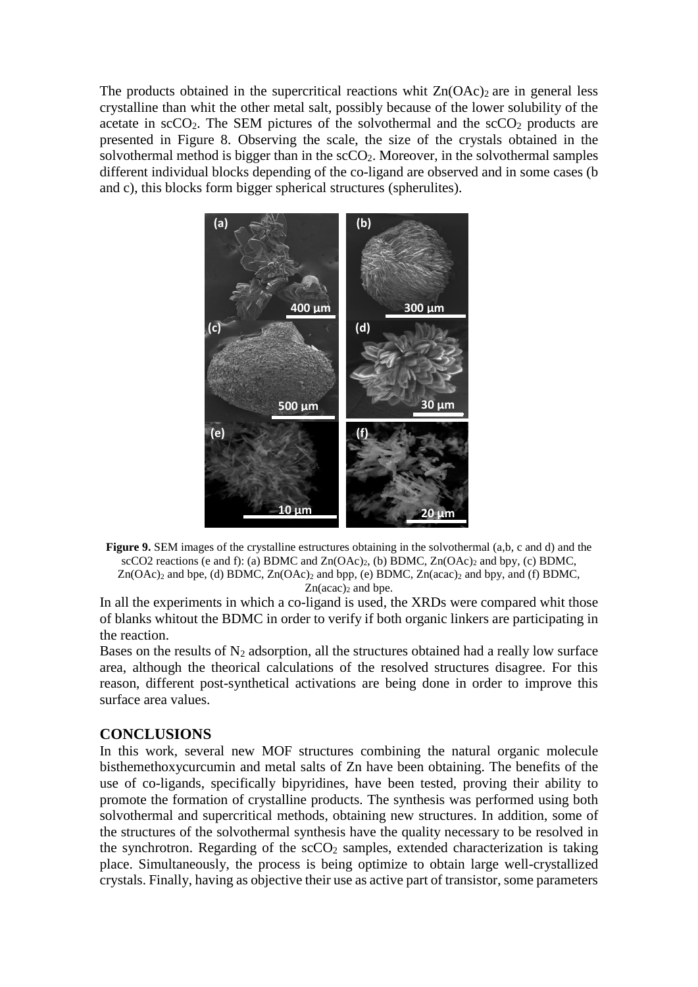The products obtained in the supercritical reactions whit  $Zn(OAc)$  are in general less crystalline than whit the other metal salt, possibly because of the lower solubility of the acetate in  $\sec O_2$ . The SEM pictures of the solvothermal and the  $\sec O_2$  products are presented in Figure 8. Observing the scale, the size of the crystals obtained in the solvothermal method is bigger than in the  $\text{scCO}_2$ . Moreover, in the solvothermal samples different individual blocks depending of the co-ligand are observed and in some cases (b and c), this blocks form bigger spherical structures (spherulites).





In all the experiments in which a co-ligand is used, the XRDs were compared whit those of blanks whitout the BDMC in order to verify if both organic linkers are participating in the reaction.

Bases on the results of  $N_2$  adsorption, all the structures obtained had a really low surface area, although the theorical calculations of the resolved structures disagree. For this reason, different post-synthetical activations are being done in order to improve this surface area values.

#### **CONCLUSIONS**

In this work, several new MOF structures combining the natural organic molecule bisthemethoxycurcumin and metal salts of Zn have been obtaining. The benefits of the use of co-ligands, specifically bipyridines, have been tested, proving their ability to promote the formation of crystalline products. The synthesis was performed using both solvothermal and supercritical methods, obtaining new structures. In addition, some of the structures of the solvothermal synthesis have the quality necessary to be resolved in the synchrotron. Regarding of the  $\sec O_2$  samples, extended characterization is taking place. Simultaneously, the process is being optimize to obtain large well-crystallized crystals. Finally, having as objective their use as active part of transistor, some parameters